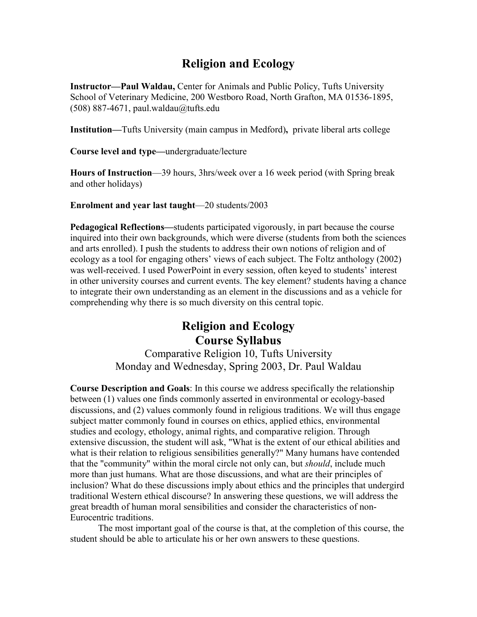# **Religion and Ecology**

**Instructor—Paul Waldau,** Center for Animals and Public Policy, Tufts University School of Veterinary Medicine, 200 Westboro Road, North Grafton, MA 01536-1895, (508) 887-4671, paul.waldau@tufts.edu

**Institution—**Tufts University (main campus in Medford)**,** private liberal arts college

**Course level and type—**undergraduate/lecture

**Hours of Instruction**—39 hours, 3hrs/week over a 16 week period (with Spring break and other holidays)

**Enrolment and year last taught**—20 students/2003

**Pedagogical Reflections—**students participated vigorously, in part because the course inquired into their own backgrounds, which were diverse (students from both the sciences and arts enrolled). I push the students to address their own notions of religion and of ecology as a tool for engaging others' views of each subject. The Foltz anthology (2002) was well-received. I used PowerPoint in every session, often keyed to students' interest in other university courses and current events. The key element? students having a chance to integrate their own understanding as an element in the discussions and as a vehicle for comprehending why there is so much diversity on this central topic.

# **Religion and Ecology Course Syllabus**

Comparative Religion 10, Tufts University Monday and Wednesday, Spring 2003, Dr. Paul Waldau

**Course Description and Goals**: In this course we address specifically the relationship between (1) values one finds commonly asserted in environmental or ecology-based discussions, and (2) values commonly found in religious traditions. We will thus engage subject matter commonly found in courses on ethics, applied ethics, environmental studies and ecology, ethology, animal rights, and comparative religion. Through extensive discussion, the student will ask, "What is the extent of our ethical abilities and what is their relation to religious sensibilities generally?" Many humans have contended that the "community" within the moral circle not only can, but *should*, include much more than just humans. What are those discussions, and what are their principles of inclusion? What do these discussions imply about ethics and the principles that undergird traditional Western ethical discourse? In answering these questions, we will address the great breadth of human moral sensibilities and consider the characteristics of non-Eurocentric traditions.

 The most important goal of the course is that, at the completion of this course, the student should be able to articulate his or her own answers to these questions.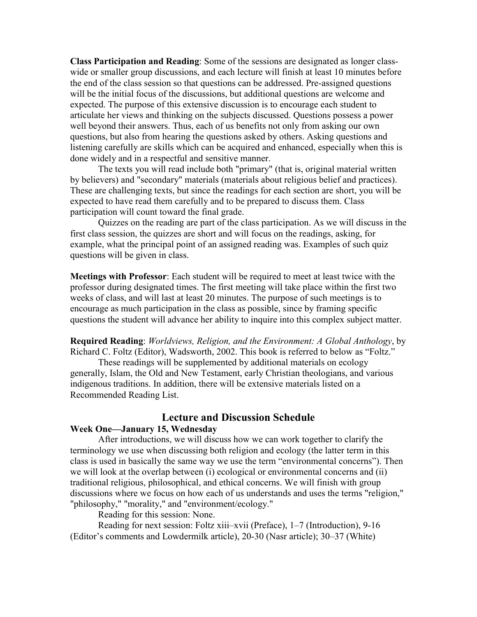**Class Participation and Reading**: Some of the sessions are designated as longer classwide or smaller group discussions, and each lecture will finish at least 10 minutes before the end of the class session so that questions can be addressed. Pre-assigned questions will be the initial focus of the discussions, but additional questions are welcome and expected. The purpose of this extensive discussion is to encourage each student to articulate her views and thinking on the subjects discussed. Questions possess a power well beyond their answers. Thus, each of us benefits not only from asking our own questions, but also from hearing the questions asked by others. Asking questions and listening carefully are skills which can be acquired and enhanced, especially when this is done widely and in a respectful and sensitive manner.

 The texts you will read include both "primary" (that is, original material written by believers) and "secondary" materials (materials about religious belief and practices). These are challenging texts, but since the readings for each section are short, you will be expected to have read them carefully and to be prepared to discuss them. Class participation will count toward the final grade.

 Quizzes on the reading are part of the class participation. As we will discuss in the first class session, the quizzes are short and will focus on the readings, asking, for example, what the principal point of an assigned reading was. Examples of such quiz questions will be given in class.

**Meetings with Professor**: Each student will be required to meet at least twice with the professor during designated times. The first meeting will take place within the first two weeks of class, and will last at least 20 minutes. The purpose of such meetings is to encourage as much participation in the class as possible, since by framing specific questions the student will advance her ability to inquire into this complex subject matter.

**Required Reading**: *Worldviews, Religion, and the Environment: A Global Anthology*, by Richard C. Foltz (Editor), Wadsworth, 2002. This book is referred to below as "Foltz."

 These readings will be supplemented by additional materials on ecology generally, Islam, the Old and New Testament, early Christian theologians, and various indigenous traditions. In addition, there will be extensive materials listed on a Recommended Reading List.

# **Lecture and Discussion Schedule**

# **Week One—January 15, Wednesday**

After introductions, we will discuss how we can work together to clarify the terminology we use when discussing both religion and ecology (the latter term in this class is used in basically the same way we use the term "environmental concerns"). Then we will look at the overlap between (i) ecological or environmental concerns and (ii) traditional religious, philosophical, and ethical concerns. We will finish with group discussions where we focus on how each of us understands and uses the terms "religion," "philosophy," "morality," and "environment/ecology."

Reading for this session: None.

 Reading for next session: Foltz xiii–xvii (Preface), 1–7 (Introduction), 9-16 (Editor's comments and Lowdermilk article), 20-30 (Nasr article); 30–37 (White)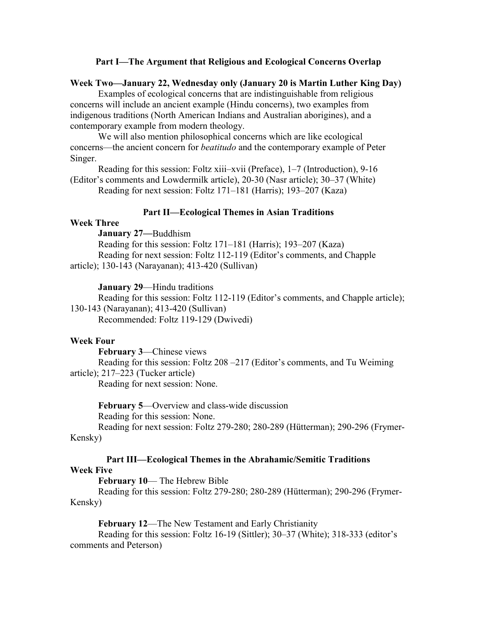### **Part I—The Argument that Religious and Ecological Concerns Overlap**

# **Week Two—January 22, Wednesday only (January 20 is Martin Luther King Day)**

 Examples of ecological concerns that are indistinguishable from religious concerns will include an ancient example (Hindu concerns), two examples from indigenous traditions (North American Indians and Australian aborigines), and a contemporary example from modern theology.

 We will also mention philosophical concerns which are like ecological concerns—the ancient concern for *beatitudo* and the contemporary example of Peter Singer.

 Reading for this session: Foltz xiii–xvii (Preface), 1–7 (Introduction), 9-16 (Editor's comments and Lowdermilk article), 20-30 (Nasr article); 30–37 (White) Reading for next session: Foltz 171–181 (Harris); 193–207 (Kaza)

# **Part II—Ecological Themes in Asian Traditions**

# **Week Three**

 **January 27—**Buddhism

 Reading for this session: Foltz 171–181 (Harris); 193–207 (Kaza) Reading for next session: Foltz 112-119 (Editor's comments, and Chapple article); 130-143 (Narayanan); 413-420 (Sullivan)

#### **January 29**—Hindu traditions

 Reading for this session: Foltz 112-119 (Editor's comments, and Chapple article); 130-143 (Narayanan); 413-420 (Sullivan) Recommended: Foltz 119-129 (Dwivedi)

#### **Week Four**

**February 3**—Chinese views

 Reading for this session: Foltz 208 –217 (Editor's comments, and Tu Weiming article); 217–223 (Tucker article)

Reading for next session: None.

**February 5**—Overview and class-wide discussion

Reading for this session: None.

 Reading for next session: Foltz 279-280; 280-289 (Hütterman); 290-296 (Frymer-Kensky)

### **Part III—Ecological Themes in the Abrahamic/Semitic Traditions Week Five**

**February 10**— The Hebrew Bible

 Reading for this session: Foltz 279-280; 280-289 (Hütterman); 290-296 (Frymer-Kensky)

**February 12**—The New Testament and Early Christianity Reading for this session: Foltz 16-19 (Sittler); 30–37 (White); 318-333 (editor's

comments and Peterson)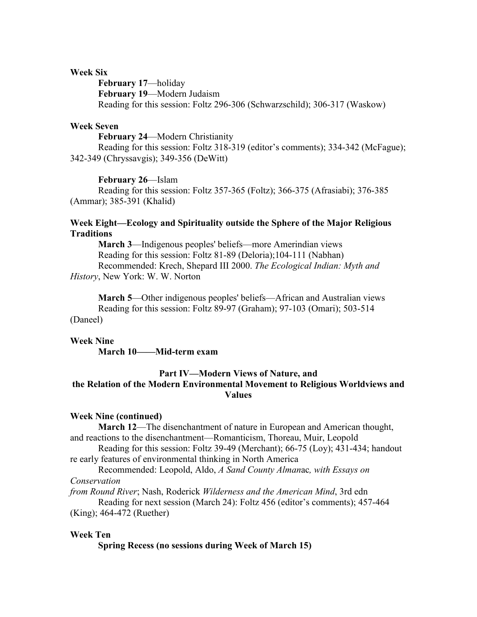## **Week Six**

**February 17**—holiday **February 19**—Modern Judaism Reading for this session: Foltz 296-306 (Schwarzschild); 306-317 (Waskow)

# **Week Seven**

**February 24**—Modern Christianity Reading for this session: Foltz 318-319 (editor's comments); 334-342 (McFague); 342-349 (Chryssavgis); 349-356 (DeWitt)

**February 26**—Islam

 Reading for this session: Foltz 357-365 (Foltz); 366-375 (Afrasiabi); 376-385 (Ammar); 385-391 (Khalid)

# **Week Eight—Ecology and Spirituality outside the Sphere of the Major Religious Traditions**

**March 3**—Indigenous peoples' beliefs—more Amerindian views Reading for this session: Foltz 81-89 (Deloria);104-111 (Nabhan) Recommended: Krech, Shepard III 2000. *The Ecological Indian: Myth and History*, New York: W. W. Norton

**March 5**—Other indigenous peoples' beliefs—African and Australian views Reading for this session: Foltz 89-97 (Graham); 97-103 (Omari); 503-514 (Daneel)

#### **Week Nine**

**March 10——Mid-term exam**

# **Part IV—Modern Views of Nature, and the Relation of the Modern Environmental Movement to Religious Worldviews and Values**

#### **Week Nine (continued)**

**March 12**—The disenchantment of nature in European and American thought, and reactions to the disenchantment—Romanticism, Thoreau, Muir, Leopold

Reading for this session: Foltz 39-49 (Merchant);  $66-75$  (Loy); 431-434; handout re early features of environmental thinking in North America

 Recommended: Leopold, Aldo, *A Sand County Alman*ac*, with Essays on Conservation* 

*from Round River*; Nash, Roderick *Wilderness and the American Mind*, 3rd edn

 Reading for next session (March 24): Foltz 456 (editor's comments); 457-464 (King); 464-472 (Ruether)

# **Week Ten**

 **Spring Recess (no sessions during Week of March 15)**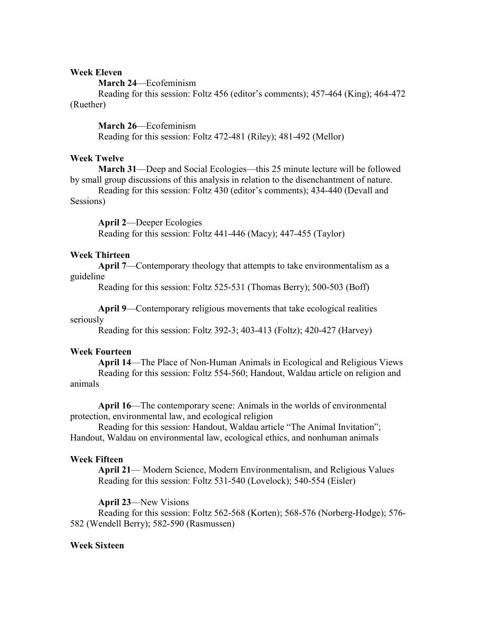# **Week Eleven**

**March 24**—Ecofeminism

 Reading for this session: Foltz 456 (editor's comments); 457-464 (King); 464-472 (Ruether)

**March 26**—Ecofeminism Reading for this session: Foltz 472-481 (Riley); 481-492 (Mellor)

# **Week Twelve**

**March 31**—Deep and Social Ecologies—this 25 minute lecture will be followed by small group discussions of this analysis in relation to the disenchantment of nature.

 Reading for this session: Foltz 430 (editor's comments); 434-440 (Devall and Sessions)

**April 2**—Deeper Ecologies

Reading for this session: Foltz 441-446 (Macy); 447-455 (Taylor)

# **Week Thirteen**

**April 7**—Contemporary theology that attempts to take environmentalism as a guideline

Reading for this session: Foltz 525-531 (Thomas Berry); 500-503 (Boff)

**April 9**—Contemporary religious movements that take ecological realities

# seriously

Reading for this session: Foltz 392-3; 403-413 (Foltz); 420-427 (Harvey)

# **Week Fourteen**

**April 14**—The Place of Non-Human Animals in Ecological and Religious Views Reading for this session: Foltz 554-560; Handout, Waldau article on religion and animals

**April 16**—The contemporary scene: Animals in the worlds of environmental protection, environmental law, and ecological religion

Reading for this session: Handout, Waldau article "The Animal Invitation"; Handout, Waldau on environmental law, ecological ethics, and nonhuman animals

# **Week Fifteen**

**April 21**— Modern Science, Modern Environmentalism, and Religious Values Reading for this session: Foltz 531-540 (Lovelock); 540-554 (Eisler)

**April 23**—New Visions

 Reading for this session: Foltz 562-568 (Korten); 568-576 (Norberg-Hodge); 576- 582 (Wendell Berry); 582-590 (Rasmussen)

# **Week Sixteen**